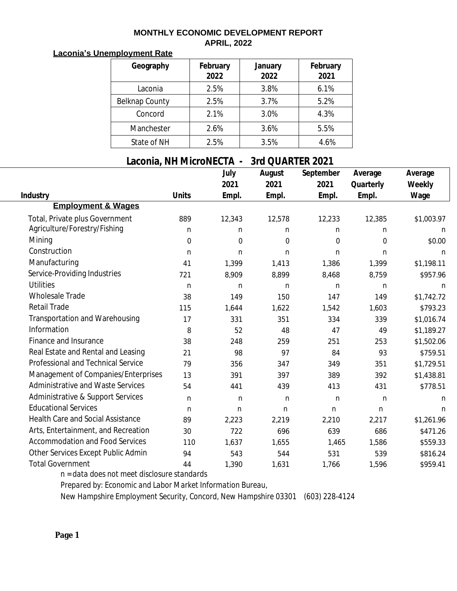## **MONTHLY ECONOMIC DEVELOPMENT REPORT APRIL, 2022**

## **Laconia's Unemployment Rate**

| Geography      | February<br>2022 | January<br>2022 | February<br>2021 |
|----------------|------------------|-----------------|------------------|
| Laconia        | 2.5%             | 3.8%            | 6.1%             |
| Belknap County | 2.5%             | 3.7%            | 5.2%             |
| Concord        | 2.1%             | 3.0%            | 4.3%             |
| Manchester     | 2.6%             | 3.6%            | 5.5%             |
| State of NH    | 2.5%             | 3.5%            | 4.6%             |

## **Laconia, NH MicroNECTA - 3rd QUARTER 2021**

|                                          |                  | July             | August      | September        | Average          | Average     |
|------------------------------------------|------------------|------------------|-------------|------------------|------------------|-------------|
|                                          |                  | 2021             | 2021        | 2021             | Quarterly        | Weekly      |
| <b>Industry</b>                          | <b>Units</b>     | Empl.            | Empl.       | Empl.            | Empl.            | Wage        |
| <b>Employment &amp; Wages</b>            |                  |                  |             |                  |                  |             |
| Total, Private plus Government           | 889              | 12,343           | 12,578      | 12,233           | 12,385           | \$1,003.97  |
| Agriculture/Forestry/Fishing             | n                | $\mathbf n$      | $\mathbf n$ | n                | n                | n           |
| Mining                                   | $\boldsymbol{0}$ | $\boldsymbol{0}$ | $\Omega$    | $\boldsymbol{0}$ | $\boldsymbol{0}$ | \$0.00      |
| Construction                             | $\mathbf n$      | n                | n           | $\mathbf n$      | $\mathbf n$      | n           |
| Manufacturing                            | 41               | 1,399            | 1,413       | 1,386            | 1,399            | \$1,198.11  |
| Service-Providing Industries             | 721              | 8,909            | 8,899       | 8,468            | 8,759            | \$957.96    |
| <b>Utilities</b>                         | $\mathbf n$      | $\mathbf n$      | $\mathbf n$ | $\mathbf n$      | $\mathbf n$      | n           |
| <b>Wholesale Trade</b>                   | 38               | 149              | 150         | 147              | 149              | \$1,742.72  |
| <b>Retail Trade</b>                      | 115              | 1,644            | 1,622       | 1,542            | 1,603            | \$793.23    |
| Transportation and Warehousing           | 17               | 331              | 351         | 334              | 339              | \$1,016.74  |
| Information                              | 8                | 52               | 48          | 47               | 49               | \$1,189.27  |
| Finance and Insurance                    | 38               | 248              | 259         | 251              | 253              | \$1,502.06  |
| Real Estate and Rental and Leasing       | 21               | 98               | 97          | 84               | 93               | \$759.51    |
| Professional and Technical Service       | 79               | 356              | 347         | 349              | 351              | \$1,729.51  |
| Management of Companies/Enterprises      | 13               | 391              | 397         | 389              | 392              | \$1,438.81  |
| Administrative and Waste Services        | 54               | 441              | 439         | 413              | 431              | \$778.51    |
| Administrative & Support Services        | $\mathbf n$      | $\mathbf n$      | $\mathbf n$ | $\mathbf n$      | $\mathbf n$      | n           |
| <b>Educational Services</b>              | $\mathbf n$      | $\mathbf n$      | $\mathbf n$ | $\mathbf n$      | $\mathbf n$      | $\mathbf n$ |
| <b>Health Care and Social Assistance</b> | 89               | 2,223            | 2,219       | 2,210            | 2,217            | \$1,261.96  |
| Arts, Entertainment, and Recreation      | 30               | 722              | 696         | 639              | 686              | \$471.26    |
| <b>Accommodation and Food Services</b>   | 110              | 1,637            | 1,655       | 1,465            | 1,586            | \$559.33    |
| Other Services Except Public Admin       | 94               | 543              | 544         | 531              | 539              | \$816.24    |
| <b>Total Government</b>                  | 44               | 1,390            | 1,631       | 1,766            | 1,596            | \$959.41    |

*n = data does not meet disclosure standards*

*Prepared by: Economic and Labor Market Information Bureau,*

*New Hampshire Employment Security, Concord, New Hampshire 03301 (603) 228-4124*